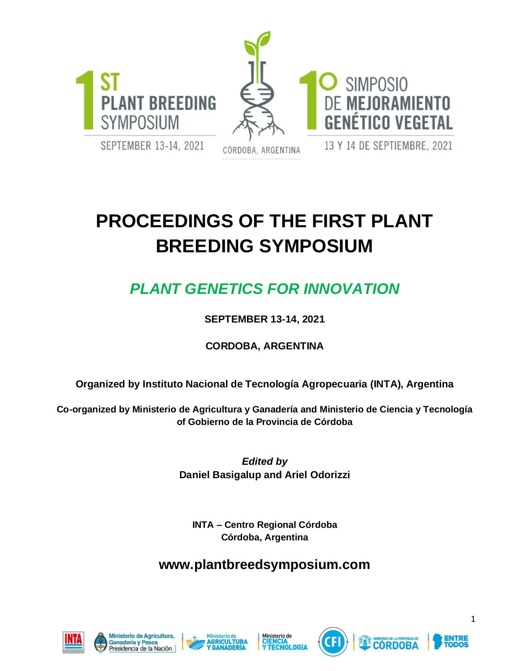



SEPTEMBER 13-14, 2021

CÓRDOBA, ARGENTINA

# **PROCEEDINGS OF THE FIRST PLANT BREEDING SYMPOSIUM**

## *PLANT GENETICS FOR INNOVATION*

#### **SEPTEMBER 13-14, 2021**

#### **CORDOBA, ARGENTINA**

#### **Organized by Instituto Nacional de Tecnología Agropecuaria (INTA), Argentina**

**Co-organized by Ministerio de Agricultura y Ganadería and Ministerio de Ciencia y Tecnología of Gobierno de la Provincia de Córdoba** 

> *Edited by* **Daniel Basigalup and Ariel Odorizzi**

**INTA** – **Centro Regional Córdoba Córdoba, Argentina**

### **www.plantbreedsymposium.com**















1